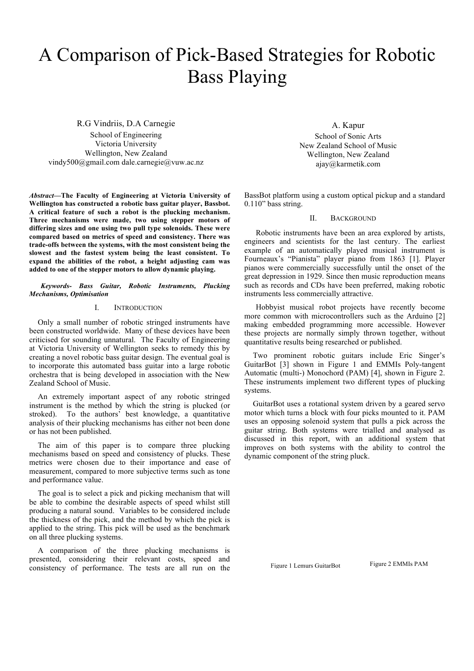# A Comparison of Pick-Based Strategies for Robotic Bass Playing

R.G Vindriis, D.A Carnegie School of Engineering Victoria University Wellington, New Zealand vindy500@gmail.com dale.carnegie@vuw.ac.nz

*Abstract***—The Faculty of Engineering at Victoria University of Wellington has constructed a robotic bass guitar player, Bassbot. A critical feature of such a robot is the plucking mechanism. Three mechanisms were made, two using stepper motors of differing sizes and one using two pull type solenoids. These were compared based on metrics of speed and consistency. There was trade-offs between the systems, with the most consistent being the slowest and the fastest system being the least consistent. To expand the abilities of the robot, a height adjusting cam was added to one of the stepper motors to allow dynamic playing.**

#### *Keywords- Bass Guitar, Robotic Instruments, Plucking Mechanisms, Optimisation*

#### I. INTRODUCTION

Only a small number of robotic stringed instruments have been constructed worldwide. Many of these devices have been criticised for sounding unnatural. The Faculty of Engineering at Victoria University of Wellington seeks to remedy this by creating a novel robotic bass guitar design. The eventual goal is to incorporate this automated bass guitar into a large robotic orchestra that is being developed in association with the New Zealand School of Music.

An extremely important aspect of any robotic stringed instrument is the method by which the string is plucked (or stroked). To the authors' best knowledge, a quantitative analysis of their plucking mechanisms has either not been done or has not been published.

The aim of this paper is to compare three plucking mechanisms based on speed and consistency of plucks. These metrics were chosen due to their importance and ease of measurement, compared to more subjective terms such as tone and performance value.

The goal is to select a pick and picking mechanism that will be able to combine the desirable aspects of speed whilst still producing a natural sound. Variables to be considered include the thickness of the pick, and the method by which the pick is applied to the string. This pick will be used as the benchmark on all three plucking systems.

A comparison of the three plucking mechanisms is presented, considering their relevant costs, speed and consistency of performance. The tests are all run on the

A. Kapur School of Sonic Arts New Zealand School of Music Wellington, New Zealand ajay@karmetik.com

BassBot platform using a custom optical pickup and a standard 0.110" bass string.

# II. BACKGROUND

Robotic instruments have been an area explored by artists, engineers and scientists for the last century. The earliest example of an automatically played musical instrument is Fourneaux's "Pianista" player piano from 1863 [1]. Player pianos were commercially successfully until the onset of the great depression in 1929. Since then music reproduction means such as records and CDs have been preferred, making robotic instruments less commercially attractive.

Hobbyist musical robot projects have recently become more common with microcontrollers such as the Arduino [2] making embedded programming more accessible. However these projects are normally simply thrown together, without quantitative results being researched or published.

Two prominent robotic guitars include Eric Singer's GuitarBot [3] shown in Figure 1 and EMMIs Poly-tangent Automatic (multi-) Monochord (PAM) [4], shown in Figure 2. These instruments implement two different types of plucking systems.

GuitarBot uses a rotational system driven by a geared servo motor which turns a block with four picks mounted to it. PAM uses an opposing solenoid system that pulls a pick across the guitar string. Both systems were trialled and analysed as discussed in this report, with an additional system that improves on both systems with the ability to control the dynamic component of the string pluck.

Figure 1 Lemurs GuitarBot Figure 2 EMMIs PAM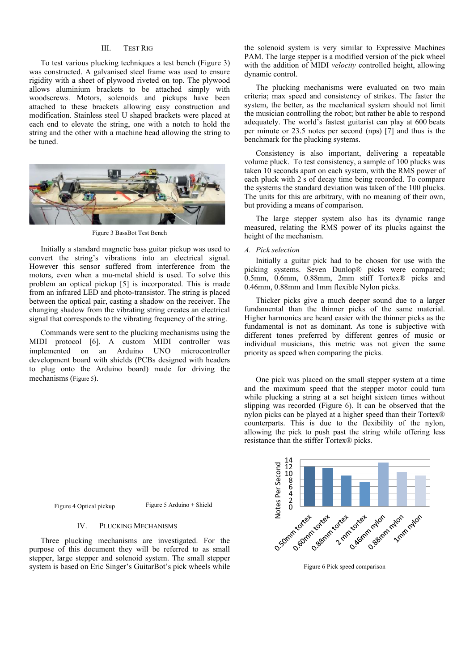# III. TEST RIG

To test various plucking techniques a test bench (Figure 3) was constructed. A galvanised steel frame was used to ensure rigidity with a sheet of plywood riveted on top. The plywood allows aluminium brackets to be attached simply with woodscrews. Motors, solenoids and pickups have been attached to these brackets allowing easy construction and modification. Stainless steel U shaped brackets were placed at each end to elevate the string, one with a notch to hold the string and the other with a machine head allowing the string to be tuned.



Figure 3 BassBot Test Bench

Initially a standard magnetic bass guitar pickup was used to convert the string's vibrations into an electrical signal. However this sensor suffered from interference from the motors, even when a mu-metal shield is used. To solve this problem an optical pickup [5] is incorporated. This is made from an infrared LED and photo-transistor. The string is placed between the optical pair, casting a shadow on the receiver. The changing shadow from the vibrating string creates an electrical signal that corresponds to the vibrating frequency of the string.

Commands were sent to the plucking mechanisms using the MIDI protocol [6]. A custom MIDI controller was implemented on an Arduino UNO microcontroller development board with shields (PCBs designed with headers to plug onto the Arduino board) made for driving the mechanisms (Figure 5).

the solenoid system is very similar to Expressive Machines PAM. The large stepper is a modified version of the pick wheel with the addition of MIDI *velocity* controlled height, allowing dynamic control.

The plucking mechanisms were evaluated on two main criteria; max speed and consistency of strikes. The faster the system, the better, as the mechanical system should not limit the musician controlling the robot; but rather be able to respond adequately. The world's fastest guitarist can play at 600 beats per minute or 23.5 notes per second (nps) [7] and thus is the benchmark for the plucking systems.

Consistency is also important, delivering a repeatable volume pluck. To test consistency, a sample of 100 plucks was taken 10 seconds apart on each system, with the RMS power of each pluck with 2 s of decay time being recorded. To compare the systems the standard deviation was taken of the 100 plucks. The units for this are arbitrary, with no meaning of their own, but providing a means of comparison.

The large stepper system also has its dynamic range measured, relating the RMS power of its plucks against the height of the mechanism.

#### *A. Pick selection*

Initially a guitar pick had to be chosen for use with the picking systems. Seven Dunlop® picks were compared; 0.5mm, 0.6mm, 0.88mm, 2mm stiff Tortex® picks and 0.46mm, 0.88mm and 1mm flexible Nylon picks.

Thicker picks give a much deeper sound due to a larger fundamental than the thinner picks of the same material. Higher harmonics are heard easier with the thinner picks as the fundamental is not as dominant. As tone is subjective with different tones preferred by different genres of music or individual musicians, this metric was not given the same priority as speed when comparing the picks.

One pick was placed on the small stepper system at a time and the maximum speed that the stepper motor could turn while plucking a string at a set height sixteen times without slipping was recorded (Figure 6). It can be observed that the nylon picks can be played at a higher speed than their Tortex® counterparts. This is due to the flexibility of the nylon, allowing the pick to push past the string while offering less resistance than the stiffer Tortex® picks.



Figure 6 Pick speed comparison

Figure 4 Optical pickup Figure 5 Arduino + Shield

#### IV. PLUCKING MECHANISMS

Three plucking mechanisms are investigated. For the purpose of this document they will be referred to as small stepper, large stepper and solenoid system. The small stepper system is based on Eric Singer's GuitarBot's pick wheels while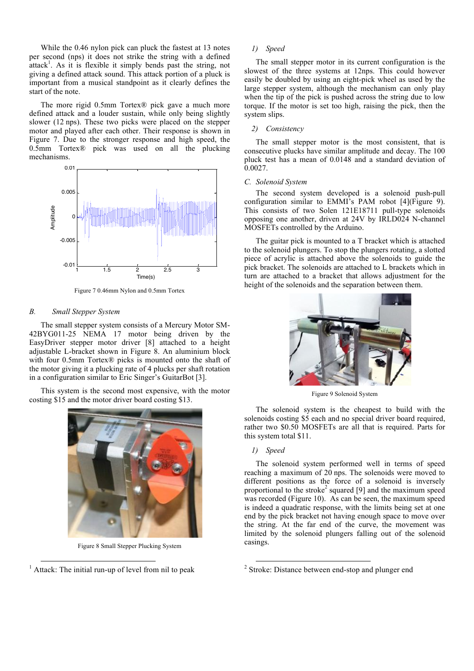While the 0.46 nylon pick can pluck the fastest at 13 notes per second (nps) it does not strike the string with a defined  $\hat{\mathbf{a}}$  attack<sup>1</sup>. As it is flexible it simply bends past the string, not giving a defined attack sound. This attack portion of a pluck is important from a musical standpoint as it clearly defines the start of the note.

The more rigid 0.5mm Tortex® pick gave a much more defined attack and a louder sustain, while only being slightly slower (12 nps). These two picks were placed on the stepper motor and played after each other. Their response is shown in Figure 7. Due to the stronger response and high speed, the 0.5mm Tortex® pick was used on all the plucking mechanisms.



Figure 7 0.46mm Nylon and 0.5mm Tortex

# *B. Small Stepper System*

The small stepper system consists of a Mercury Motor SM-42BYG011-25 NEMA 17 motor being driven by the EasyDriver stepper motor driver [8] attached to a height adjustable L-bracket shown in Figure 8. An aluminium block with four 0.5mm Tortex® picks is mounted onto the shaft of the motor giving it a plucking rate of 4 plucks per shaft rotation in a configuration similar to Eric Singer's GuitarBot [3].

This system is the second most expensive, with the motor costing \$15 and the motor driver board costing \$13.



Figure 8 Small Stepper Plucking System

#### *1) Speed*

The small stepper motor in its current configuration is the slowest of the three systems at 12nps. This could however easily be doubled by using an eight-pick wheel as used by the large stepper system, although the mechanism can only play when the tip of the pick is pushed across the string due to low torque. If the motor is set too high, raising the pick, then the system slips.

#### *2) Consistency*

The small stepper motor is the most consistent, that is consecutive plucks have similar amplitude and decay. The 100 pluck test has a mean of 0.0148 and a standard deviation of 0.0027.

#### *C. Solenoid System*

The second system developed is a solenoid push-pull configuration similar to EMMI's PAM robot [4](Figure 9). This consists of two Solen 121E18711 pull-type solenoids opposing one another, driven at 24V by IRLD024 N-channel MOSFETs controlled by the Arduino.

The guitar pick is mounted to a T bracket which is attached to the solenoid plungers. To stop the plungers rotating, a slotted piece of acrylic is attached above the solenoids to guide the pick bracket. The solenoids are attached to L brackets which in turn are attached to a bracket that allows adjustment for the height of the solenoids and the separation between them.



Figure 9 Solenoid System

The solenoid system is the cheapest to build with the solenoids costing \$5 each and no special driver board required, rather two \$0.50 MOSFETs are all that is required. Parts for this system total \$11.

#### *1) Speed*

The solenoid system performed well in terms of speed reaching a maximum of 20 nps. The solenoids were moved to different positions as the force of a solenoid is inversely proportional to the stroke<sup>2</sup> squared [9] and the maximum speed was recorded (Figure 10). As can be seen, the maximum speed is indeed a quadratic response, with the limits being set at one end by the pick bracket not having enough space to move over the string. At the far end of the curve, the movement was limited by the solenoid plungers falling out of the solenoid casings.

 $<sup>1</sup>$  Attack: The initial run-up of level from nil to peak</sup>

<sup>&</sup>lt;sup>2</sup> Stroke: Distance between end-stop and plunger end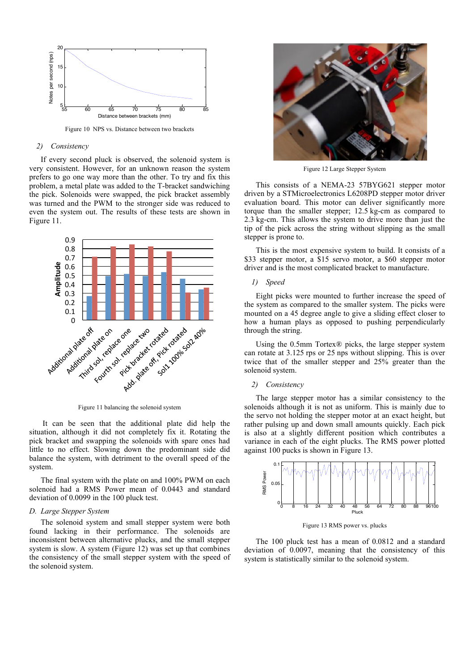

Figure 10 NPS vs. Distance between two brackets

#### *2) Consistency*

If every second pluck is observed, the solenoid system is very consistent. However, for an unknown reason the system prefers to go one way more than the other. To try and fix this problem, a metal plate was added to the T-bracket sandwiching the pick. Solenoids were swapped, the pick bracket assembly was turned and the PWM to the stronger side was reduced to even the system out. The results of these tests are shown in Figure 11.



Figure 11 balancing the solenoid system

It can be seen that the additional plate did help the situation, although it did not completely fix it. Rotating the pick bracket and swapping the solenoids with spare ones had little to no effect. Slowing down the predominant side did balance the system, with detriment to the overall speed of the system.

The final system with the plate on and 100% PWM on each solenoid had a RMS Power mean of 0.0443 and standard deviation of 0.0099 in the 100 pluck test.

#### *D. Large Stepper System*

The solenoid system and small stepper system were both found lacking in their performance. The solenoids are inconsistent between alternative plucks, and the small stepper system is slow. A system (Figure 12) was set up that combines the consistency of the small stepper system with the speed of the solenoid system.



Figure 12 Large Stepper System

This consists of a NEMA-23 57BYG621 stepper motor driven by a STMicroelectronics L6208PD stepper motor driver evaluation board. This motor can deliver significantly more torque than the smaller stepper; 12.5 kg-cm as compared to 2.3 kg-cm. This allows the system to drive more than just the tip of the pick across the string without slipping as the small stepper is prone to.

This is the most expensive system to build. It consists of a \$33 stepper motor, a \$15 servo motor, a \$60 stepper motor driver and is the most complicated bracket to manufacture.

# *1) Speed*

Eight picks were mounted to further increase the speed of the system as compared to the smaller system. The picks were mounted on a 45 degree angle to give a sliding effect closer to how a human plays as opposed to pushing perpendicularly through the string.

Using the  $0.5$ mm Tortex $\overline{\textcircled{\text{p}}}$  picks, the large stepper system can rotate at 3.125 rps or 25 nps without slipping. This is over twice that of the smaller stepper and 25% greater than the solenoid system.

# 2) *Consistency*

The large stepper motor has a similar consistency to the solenoids although it is not as uniform. This is mainly due to the servo not holding the stepper motor at an exact height, but rather pulsing up and down small amounts quickly. Each pick is also at a slightly different position which contributes a variance in each of the eight plucks. The RMS power plotted against 100 pucks is shown in Figure 13.



Figure 13 RMS power vs. plucks

The 100 pluck test has a mean of 0.0812 and a standard deviation of 0.0097, meaning that the consistency of this system is statistically similar to the solenoid system.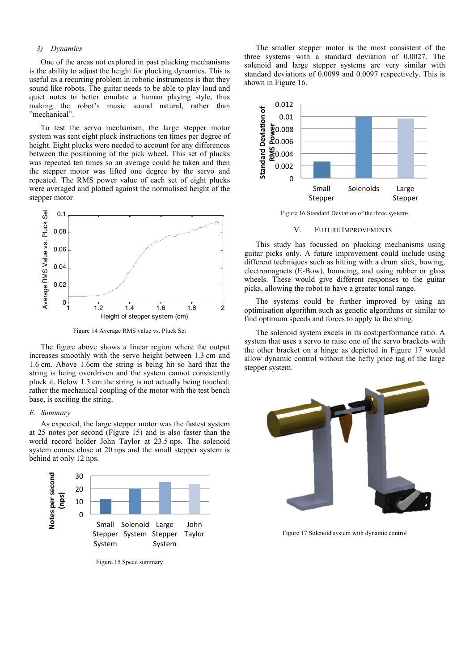# *3) Dynamics*

One of the areas not explored in past plucking mechanisms is the ability to adjust the height for plucking dynamics. This is useful as a recurring problem in robotic instruments is that they sound like robots. The guitar needs to be able to play loud and quiet notes to better emulate a human playing style, thus making the robot's music sound natural, rather than "mechanical".

To test the servo mechanism, the large stepper motor system was sent eight pluck instructions ten times per degree of height. Eight plucks were needed to account for any differences between the positioning of the pick wheel. This set of plucks was repeated ten times so an average could be taken and then the stepper motor was lifted one degree by the servo and repeated. The RMS power value of each set of eight plucks were averaged and plotted against the normalised height of the stepper motor



Figure 14 Average RMS value vs. Pluck Set

The figure above shows a linear region where the output increases smoothly with the servo height between 1.3 cm and 1.6 cm. Above 1.6cm the string is being hit so hard that the string is being overdriven and the system cannot consistently pluck it. Below 1.3 cm the string is not actually being touched; rather the mechanical coupling of the motor with the test bench base, is exciting the string.

#### *E. Summary*

As expected, the large stepper motor was the fastest system at 25 notes per second (Figure 15) and is also faster than the world record holder John Taylor at 23.5 nps. The solenoid system comes close at 20 nps and the small stepper system is behind at only 12 nps.



Figure 15 Speed summary

The smaller stepper motor is the most consistent of the three systems with a standard deviation of 0.0027. The solenoid and large stepper systems are very similar with standard deviations of 0.0099 and 0.0097 respectively. This is shown in Figure 16.



Figure 16 Standard Deviation of the three systems

#### V. FUTURE IMPROVEMENTS

This study has focussed on plucking mechanisms using guitar picks only. A future improvement could include using different techniques such as hitting with a drum stick, bowing, electromagnets (E-Bow), bouncing, and using rubber or glass wheels. These would give different responses to the guitar picks, allowing the robot to have a greater tonal range.

The systems could be further improved by using an optimisation algorithm such as genetic algorithms or similar to find optimum speeds and forces to apply to the string.

The solenoid system excels in its cost:performance ratio. A system that uses a servo to raise one of the servo brackets with the other bracket on a hinge as depicted in Figure 17 would allow dynamic control without the hefty price tag of the large stepper system.



Figure 17 Solenoid system with dynamic control